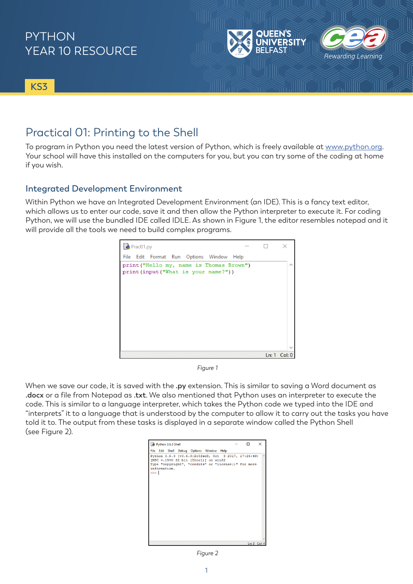

**KS3**

## Practical 01: Printing to the Shell

To program in Python you need the latest version of Python, which is freely available at [www.python.org.](http://www.python.org) Your school will have this installed on the computers for you, but you can try some of the coding at home if you wish.

### **Integrated Development Environment**

Within Python we have an Integrated Development Environment (an IDE). This is a fancy text editor, which allows us to enter our code, save it and then allow the Python interpreter to execute it. For coding Python, we will use the bundled IDE called IDLE. As shown in Figure 1, the editor resembles notepad and it will provide all the tools we need to build complex programs.



*Figure 1*

When we save our code, it is saved with the **.py** extension. This is similar to saving a Word document as **.docx** or a file from Notepad as **.txt**. We also mentioned that Python uses an interpreter to execute the code. This is similar to a language interpreter, which takes the Python code we typed into the IDE and "interprets" it to a language that is understood by the computer to allow it to carry out the tasks you have told it to. The output from these tasks is displayed in a separate window called the Python Shell (see Figure 2).

| Python 3.6.3 Shell                                                                          | ×            |
|---------------------------------------------------------------------------------------------|--------------|
| File Edit Shell Debug Options Window Help                                                   |              |
| Python 3.6.3 (v3.6.3:2c5fed8, Oct 3 2017, 17:26:49)<br>[MSC v.1900 32 bit (Intel)] on win32 |              |
| Type "copyright", "credits" or "license()" for more<br>information.<br>>>                   |              |
|                                                                                             |              |
|                                                                                             | Ln: 3 Col: 4 |
|                                                                                             |              |

*Figure 2*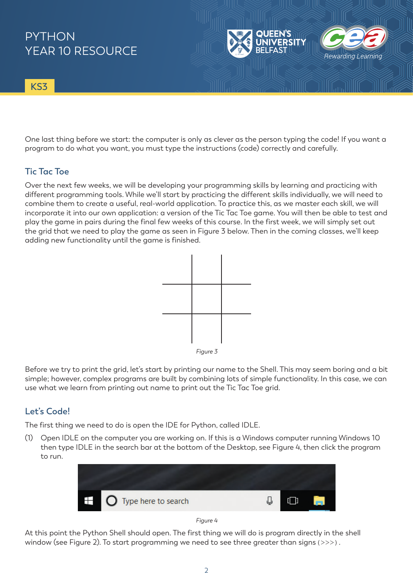**KS3**

One last thing before we start: the computer is only as clever as the person typing the code! If you want a program to do what you want, you must type the instructions (code) correctly and carefully.

Rewarding Lear

## **Tic Tac Toe**

Over the next few weeks, we will be developing your programming skills by learning and practicing with different programming tools. While we'll start by practicing the different skills individually, we will need to combine them to create a useful, real-world application. To practice this, as we master each skill, we will incorporate it into our own application: a version of the Tic Tac Toe game. You will then be able to test and play the game in pairs during the final few weeks of this course. In the first week, we will simply set out the grid that we need to play the game as seen in Figure 3 below. Then in the coming classes, we'll keep adding new functionality until the game is finished.



*Figure 3*

Before we try to print the grid, let's start by printing our name to the Shell. This may seem boring and a bit simple; however, complex programs are built by combining lots of simple functionality. In this case, we can use what we learn from printing out name to print out the Tic Tac Toe grid.

### **Let's Code!**

The first thing we need to do is open the IDE for Python, called IDLE.

(1) Open IDLE on the computer you are working on. If this is a Windows computer running Windows 10 then type IDLE in the search bar at the bottom of the Desktop, see Figure 4, then click the program to run.



#### *Figure 4*

At this point the Python Shell should open. The first thing we will do is program directly in the shell window (see Figure 2). To start programming we need to see three greater than signs (>>>).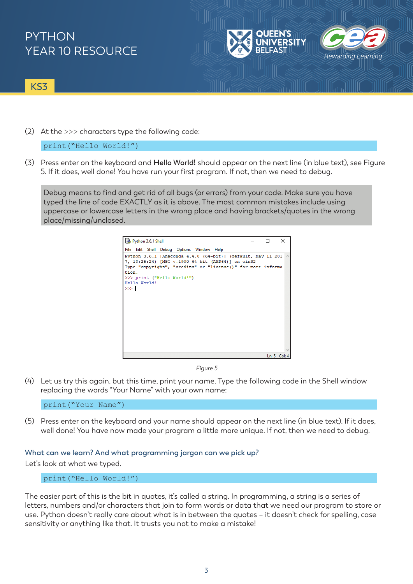

### **KS3**

(2) At the >>> characters type the following code:

print("Hello World!")

(3) Press enter on the keyboard and **Hello World!** should appear on the next line (in blue text), see Figure 5. If it does, well done! You have run your first program. If not, then we need to debug.

Debug means to find and get rid of all bugs (or errors) from your code. Make sure you have typed the line of code EXACTLY as it is above. The most common mistakes include using uppercase or lowercase letters in the wrong place and having brackets/quotes in the wrong place/missing/unclosed.



*Figure 5*

(4) Let us try this again, but this time, print your name. Type the following code in the Shell window replacing the words "Your Name" with your own name:

print("Your Name")

(5) Press enter on the keyboard and your name should appear on the next line (in blue text). If it does, well done! You have now made your program a little more unique. If not, then we need to debug.

### **What can we learn? And what programming jargon can we pick up?**

Let's look at what we typed.

print("Hello World!")

The easier part of this is the bit in quotes, it's called a string. In programming, a string is a series of letters, numbers and/or characters that join to form words or data that we need our program to store or use. Python doesn't really care about what is in between the quotes – it doesn't check for spelling, case sensitivity or anything like that. It trusts you not to make a mistake!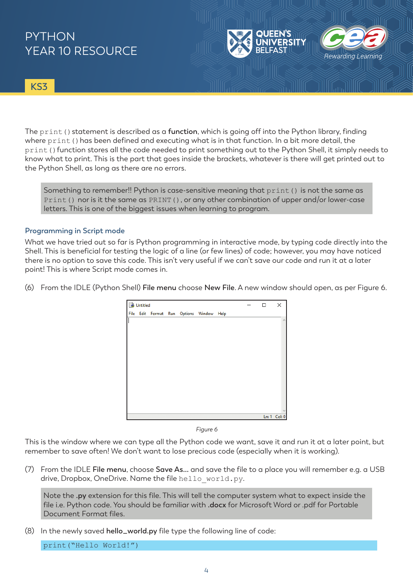

**KS3**

The print () statement is described as a function, which is going off into the Python library, finding where print () has been defined and executing what is in that function. In a bit more detail, the print () function stores all the code needed to print something out to the Python Shell, it simply needs to know what to print. This is the part that goes inside the brackets, whatever is there will get printed out to the Python Shell, as long as there are no errors.

Something to remember!! Python is case-sensitive meaning that print() is not the same as Print() nor is it the same as PRINT(), or any other combination of upper and/or lower-case letters. This is one of the biggest issues when learning to program.

#### **Programming in Script mode**

What we have tried out so far is Python programming in interactive mode, by typing code directly into the Shell. This is beneficial for testing the logic of a line (or few lines) of code; however, you may have noticed there is no option to save this code. This isn't very useful if we can't save our code and run it at a later point! This is where Script mode comes in.

(6) From the IDLE (Python Shell) **File menu** choose **New File**. A new window should open, as per Figure 6.

| Untitled |  |  |  |  |                                          |  | п | × |                 |
|----------|--|--|--|--|------------------------------------------|--|---|---|-----------------|
|          |  |  |  |  | File Edit Format Run Options Window Help |  |   |   |                 |
|          |  |  |  |  |                                          |  |   |   | $\mathcal{O}_2$ |
|          |  |  |  |  |                                          |  |   |   |                 |
|          |  |  |  |  |                                          |  |   |   |                 |
|          |  |  |  |  |                                          |  |   |   |                 |
|          |  |  |  |  |                                          |  |   |   |                 |
|          |  |  |  |  |                                          |  |   |   |                 |
|          |  |  |  |  |                                          |  |   |   |                 |
|          |  |  |  |  |                                          |  |   |   |                 |
|          |  |  |  |  |                                          |  |   |   |                 |
|          |  |  |  |  |                                          |  |   |   |                 |
|          |  |  |  |  |                                          |  |   |   |                 |
|          |  |  |  |  |                                          |  |   |   |                 |
|          |  |  |  |  |                                          |  |   |   |                 |
|          |  |  |  |  |                                          |  |   |   | Ln: 1 Col: 0    |

*Figure 6*

This is the window where we can type all the Python code we want, save it and run it at a later point, but remember to save often! We don't want to lose precious code (especially when it is working).

(7) From the IDLE **File menu**, choose **Save As…** and save the file to a place you will remember e.g. a USB drive, Dropbox, OneDrive. Name the file hello world.py.

Note the **.py** extension for this file. This will tell the computer system what to expect inside the file i.e. Python code. You should be familiar with **.docx** for Microsoft Word or .pdf for Portable Document Format files.

(8) In the newly saved **hello\_world.py** file type the following line of code:

print("Hello World!")